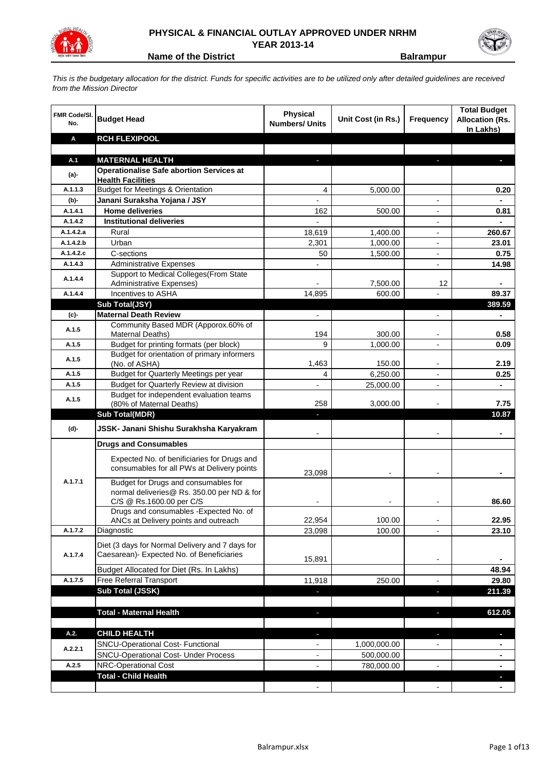

## **PHYSICAL & FINANCIAL OUTLAY APPROVED UNDER NRHM YEAR 2013-14**

**Name of the District <b>Balle Balrampur** 

*This is the budgetary allocation for the district. Funds for specific activities are to be utilized only after detailed guidelines are received from the Mission Director*

| <b>FMR Code/SI.</b><br>No. | <b>Budget Head</b>                                                                        | Physical<br><b>Numbers/ Units</b> | Unit Cost (in Rs.) | <b>Frequency</b>         | <b>Total Budget</b><br><b>Allocation (Rs.</b><br>In Lakhs) |
|----------------------------|-------------------------------------------------------------------------------------------|-----------------------------------|--------------------|--------------------------|------------------------------------------------------------|
| Α                          | <b>RCH FLEXIPOOL</b>                                                                      |                                   |                    |                          |                                                            |
|                            |                                                                                           |                                   |                    |                          |                                                            |
| A.1                        | <b>MATERNAL HEALTH</b>                                                                    |                                   |                    |                          |                                                            |
| $(a)$ -                    | <b>Operationalise Safe abortion Services at</b><br><b>Health Facilities</b>               |                                   |                    |                          |                                                            |
| A.1.1.3                    | <b>Budget for Meetings &amp; Orientation</b>                                              | 4                                 | 5,000.00           |                          | 0.20                                                       |
| (b)-                       | Janani Suraksha Yojana / JSY                                                              |                                   |                    |                          |                                                            |
| A.1.4.1                    | <b>Home deliveries</b>                                                                    | 162                               | 500.00             | $\overline{a}$           | 0.81                                                       |
| A.1.4.2                    | <b>Institutional deliveries</b>                                                           |                                   |                    | $\overline{a}$           |                                                            |
| A.1.4.2.a                  | Rural                                                                                     | 18,619                            | 1,400.00           | $\overline{\phantom{a}}$ | 260.67                                                     |
| A.1.4.2.b                  | Urban                                                                                     | 2,301                             | 1,000.00           | $\blacksquare$           | 23.01                                                      |
| A.1.4.2.c                  | C-sections                                                                                | 50                                | 1,500.00           |                          | 0.75                                                       |
| A.1.4.3                    | <b>Administrative Expenses</b>                                                            |                                   |                    |                          | 14.98                                                      |
| A.1.4.4                    | Support to Medical Colleges (From State                                                   |                                   |                    |                          |                                                            |
|                            | Administrative Expenses)                                                                  |                                   | 7,500.00           | 12                       |                                                            |
| A.1.4.4                    | Incentives to ASHA                                                                        | 14,895                            | 600.00             |                          | 89.37                                                      |
|                            | Sub Total(JSY)                                                                            |                                   |                    |                          | 389.59                                                     |
| (c)-                       | <b>Maternal Death Review</b>                                                              |                                   |                    |                          |                                                            |
| A.1.5                      | Community Based MDR (Apporox.60% of<br>Maternal Deaths)                                   | 194                               | 300.00             | $\overline{\phantom{a}}$ | 0.58                                                       |
| A.1.5                      | Budget for printing formats (per block)                                                   | 9                                 | 1,000.00           | $\overline{\phantom{a}}$ | 0.09                                                       |
|                            | Budget for orientation of primary informers                                               |                                   |                    |                          |                                                            |
| A.1.5                      | (No. of ASHA)                                                                             | 1,463                             | 150.00             |                          | 2.19                                                       |
| A.1.5                      | Budget for Quarterly Meetings per year                                                    | 4                                 | 6,250.00           |                          | 0.25                                                       |
| A.1.5                      | Budget for Quarterly Review at division                                                   |                                   | 25,000.00          |                          |                                                            |
| A.1.5                      | Budget for independent evaluation teams                                                   |                                   |                    |                          |                                                            |
|                            | (80% of Maternal Deaths)                                                                  | 258                               | 3,000.00           |                          | 7.75                                                       |
|                            | <b>Sub Total(MDR)</b>                                                                     |                                   |                    |                          | 10.87                                                      |
| (d)-                       | JSSK- Janani Shishu Surakhsha Karyakram                                                   |                                   |                    |                          |                                                            |
|                            | <b>Drugs and Consumables</b>                                                              |                                   |                    |                          |                                                            |
|                            |                                                                                           |                                   |                    |                          |                                                            |
|                            | Expected No. of benificiaries for Drugs and<br>consumables for all PWs at Delivery points |                                   |                    |                          |                                                            |
|                            |                                                                                           | 23,098                            |                    |                          |                                                            |
| A.1.7.1                    | Budget for Drugs and consumables for                                                      |                                   |                    |                          |                                                            |
|                            | normal deliveries@ Rs. 350.00 per ND & for<br>C/S @ Rs.1600.00 per C/S                    |                                   |                    |                          | 86.60                                                      |
|                            | Drugs and consumables - Expected No. of                                                   |                                   |                    |                          |                                                            |
|                            | ANCs at Delivery points and outreach                                                      | 22,954                            | 100.00             | $\overline{\phantom{a}}$ | 22.95                                                      |
| A.1.7.2                    | Diagnostic                                                                                | 23,098                            | 100.00             | $\overline{a}$           | 23.10                                                      |
|                            | Diet (3 days for Normal Delivery and 7 days for                                           |                                   |                    |                          |                                                            |
| A.1.7.4                    | Caesarean)- Expected No. of Beneficiaries                                                 |                                   |                    |                          |                                                            |
|                            |                                                                                           | 15,891                            |                    |                          |                                                            |
|                            | Budget Allocated for Diet (Rs. In Lakhs)                                                  |                                   |                    |                          | 48.94                                                      |
| A.1.7.5                    | Free Referral Transport                                                                   | 11,918                            | 250.00             | $\overline{\phantom{a}}$ | 29.80                                                      |
|                            | Sub Total (JSSK)                                                                          | ٠                                 |                    | r.                       | 211.39                                                     |
|                            | <b>Total - Maternal Health</b>                                                            |                                   |                    |                          | 612.05                                                     |
|                            |                                                                                           | ٠                                 |                    | ٠                        |                                                            |
| A.2.                       | <b>CHILD HEALTH</b>                                                                       |                                   |                    |                          |                                                            |
|                            | SNCU-Operational Cost- Functional                                                         |                                   | 1,000,000.00       |                          |                                                            |
| A.2.2.1                    | <b>SNCU-Operational Cost- Under Process</b>                                               |                                   | 500,000.00         |                          | ۰.                                                         |
| A.2.5                      | NRC-Operational Cost                                                                      |                                   | 780,000.00         |                          | ٠                                                          |
|                            | <b>Total - Child Health</b>                                                               |                                   |                    |                          |                                                            |
|                            |                                                                                           |                                   |                    |                          |                                                            |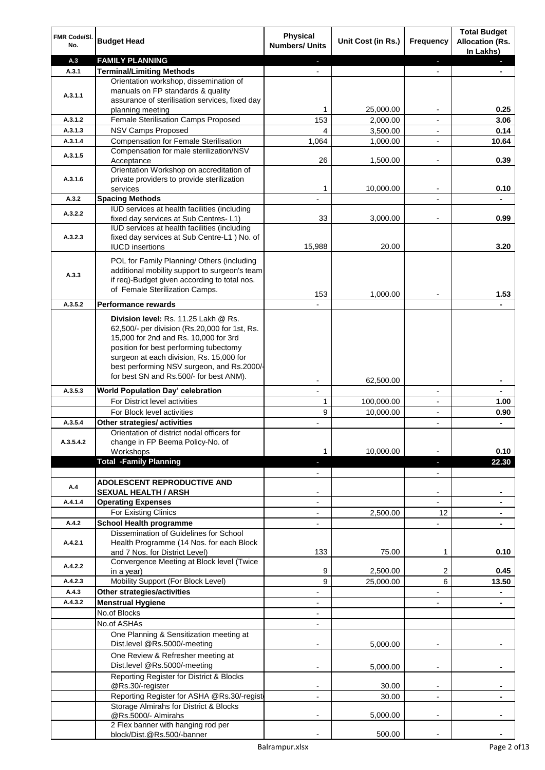| FMR Code/SI.<br>No. | <b>Budget Head</b>                                                                                                                                                                                                                                                                                            | <b>Physical</b><br><b>Numbers/ Units</b> | Unit Cost (in Rs.) | Frequency                | <b>Total Budget</b><br><b>Allocation (Rs.</b><br>In Lakhs) |
|---------------------|---------------------------------------------------------------------------------------------------------------------------------------------------------------------------------------------------------------------------------------------------------------------------------------------------------------|------------------------------------------|--------------------|--------------------------|------------------------------------------------------------|
| A.3                 | <b>FAMILY PLANNING</b>                                                                                                                                                                                                                                                                                        | L.                                       |                    | J,                       |                                                            |
| A.3.1               | <b>Terminal/Limiting Methods</b>                                                                                                                                                                                                                                                                              |                                          |                    |                          |                                                            |
| A.3.1.1             | Orientation workshop, dissemination of<br>manuals on FP standards & quality<br>assurance of sterilisation services, fixed day                                                                                                                                                                                 |                                          |                    |                          |                                                            |
|                     | planning meeting                                                                                                                                                                                                                                                                                              | 1                                        | 25,000.00          |                          | 0.25                                                       |
| A.3.1.2             | Female Sterilisation Camps Proposed                                                                                                                                                                                                                                                                           | 153                                      | 2,000.00           |                          | 3.06                                                       |
| A.3.1.3             | NSV Camps Proposed                                                                                                                                                                                                                                                                                            | 4                                        | 3,500.00           |                          | 0.14                                                       |
| A.3.1.4             | <b>Compensation for Female Sterilisation</b>                                                                                                                                                                                                                                                                  | 1,064                                    | 1,000.00           | $\blacksquare$           | 10.64                                                      |
| A.3.1.5             | Compensation for male sterilization/NSV<br>Acceptance<br>Orientation Workshop on accreditation of                                                                                                                                                                                                             | 26                                       | 1,500.00           | $\overline{\phantom{a}}$ | 0.39                                                       |
| A.3.1.6             | private providers to provide sterilization<br>services                                                                                                                                                                                                                                                        | 1                                        | 10,000.00          | $\overline{\phantom{a}}$ | 0.10                                                       |
| A.3.2               | <b>Spacing Methods</b>                                                                                                                                                                                                                                                                                        |                                          |                    | $\overline{\phantom{a}}$ |                                                            |
| A.3.2.2             | IUD services at health facilities (including<br>fixed day services at Sub Centres-L1)                                                                                                                                                                                                                         | 33                                       | 3,000.00           |                          | 0.99                                                       |
| A.3.2.3             | IUD services at health facilities (including<br>fixed day services at Sub Centre-L1 ) No. of<br><b>IUCD</b> insertions                                                                                                                                                                                        | 15,988                                   | 20.00              |                          | 3.20                                                       |
| A.3.3               | POL for Family Planning/ Others (including<br>additional mobility support to surgeon's team<br>if req)-Budget given according to total nos.<br>of Female Sterilization Camps.                                                                                                                                 | 153                                      | 1,000.00           |                          | 1.53                                                       |
| A.3.5.2             | <b>Performance rewards</b>                                                                                                                                                                                                                                                                                    |                                          |                    |                          |                                                            |
|                     | Division level: Rs. 11.25 Lakh @ Rs.<br>62,500/- per division (Rs.20,000 for 1st, Rs.<br>15,000 for 2nd and Rs. 10,000 for 3rd<br>position for best performing tubectomy<br>surgeon at each division, Rs. 15,000 for<br>best performing NSV surgeon, and Rs.2000/-<br>for best SN and Rs.500/- for best ANM). |                                          | 62,500.00          |                          |                                                            |
| A.3.5.3             | <b>World Population Day' celebration</b>                                                                                                                                                                                                                                                                      | $\overline{a}$                           |                    | $\overline{\phantom{a}}$ |                                                            |
|                     | For District level activities                                                                                                                                                                                                                                                                                 | 1                                        | 100,000.00         | $\overline{\phantom{a}}$ | 1.00                                                       |
|                     | For Block level activities                                                                                                                                                                                                                                                                                    | 9                                        | 10,000.00          | $\overline{\phantom{a}}$ | 0.90                                                       |
| A.3.5.4             | Other strategies/ activities                                                                                                                                                                                                                                                                                  |                                          |                    | $\overline{\phantom{a}}$ | ۰                                                          |
| A.3.5.4.2           | Orientation of district nodal officers for<br>change in FP Beema Policy-No. of<br>Workshops                                                                                                                                                                                                                   | 1                                        | 10,000.00          |                          | 0.10                                                       |
|                     | <b>Total -Family Planning</b>                                                                                                                                                                                                                                                                                 | н                                        |                    | ٠                        | 22.30                                                      |
|                     |                                                                                                                                                                                                                                                                                                               |                                          |                    | $\overline{\phantom{a}}$ |                                                            |
| A.4                 | <b>ADOLESCENT REPRODUCTIVE AND</b><br><b>SEXUAL HEALTH / ARSH</b>                                                                                                                                                                                                                                             |                                          |                    |                          |                                                            |
| A.4.1.4             | <b>Operating Expenses</b>                                                                                                                                                                                                                                                                                     | $\overline{\phantom{a}}$                 |                    |                          |                                                            |
|                     | For Existing Clinics                                                                                                                                                                                                                                                                                          |                                          | 2,500.00           | 12                       |                                                            |
| A.4.2               | <b>School Health programme</b>                                                                                                                                                                                                                                                                                |                                          |                    |                          |                                                            |
| A.4.2.1             | Dissemination of Guidelines for School<br>Health Programme (14 Nos. for each Block<br>and 7 Nos. for District Level)                                                                                                                                                                                          | 133                                      | 75.00              | 1                        | 0.10                                                       |
| A.4.2.2             | Convergence Meeting at Block level (Twice                                                                                                                                                                                                                                                                     |                                          |                    |                          |                                                            |
|                     | in a year)                                                                                                                                                                                                                                                                                                    | 9                                        | 2,500.00           | 2                        | 0.45                                                       |
| A.4.2.3             | Mobility Support (For Block Level)                                                                                                                                                                                                                                                                            | 9                                        | 25,000.00          | 6                        | 13.50                                                      |
| A.4.3               | Other strategies/activities                                                                                                                                                                                                                                                                                   |                                          |                    |                          | ۰                                                          |
| A.4.3.2             | <b>Menstrual Hygiene</b>                                                                                                                                                                                                                                                                                      | $\blacksquare$                           |                    | $\blacksquare$           | $\blacksquare$                                             |
|                     | No.of Blocks                                                                                                                                                                                                                                                                                                  | $\overline{a}$                           |                    |                          |                                                            |
|                     | No.of ASHAs                                                                                                                                                                                                                                                                                                   | $\overline{a}$                           |                    |                          |                                                            |
|                     | One Planning & Sensitization meeting at<br>Dist.level @Rs.5000/-meeting                                                                                                                                                                                                                                       |                                          | 5,000.00           |                          |                                                            |
|                     | One Review & Refresher meeting at<br>Dist.level @Rs.5000/-meeting                                                                                                                                                                                                                                             |                                          | 5,000.00           |                          |                                                            |
|                     | Reporting Register for District & Blocks<br>@Rs.30/-register                                                                                                                                                                                                                                                  |                                          | 30.00              | $\blacksquare$           |                                                            |
|                     | Reporting Register for ASHA @Rs.30/-regist                                                                                                                                                                                                                                                                    |                                          | 30.00              |                          |                                                            |
|                     | Storage Almirahs for District & Blocks<br>@Rs.5000/- Almirahs                                                                                                                                                                                                                                                 |                                          | 5,000.00           |                          |                                                            |
|                     | 2 Flex banner with hanging rod per                                                                                                                                                                                                                                                                            |                                          |                    |                          |                                                            |
|                     | block/Dist.@Rs.500/-banner                                                                                                                                                                                                                                                                                    |                                          | 500.00             |                          |                                                            |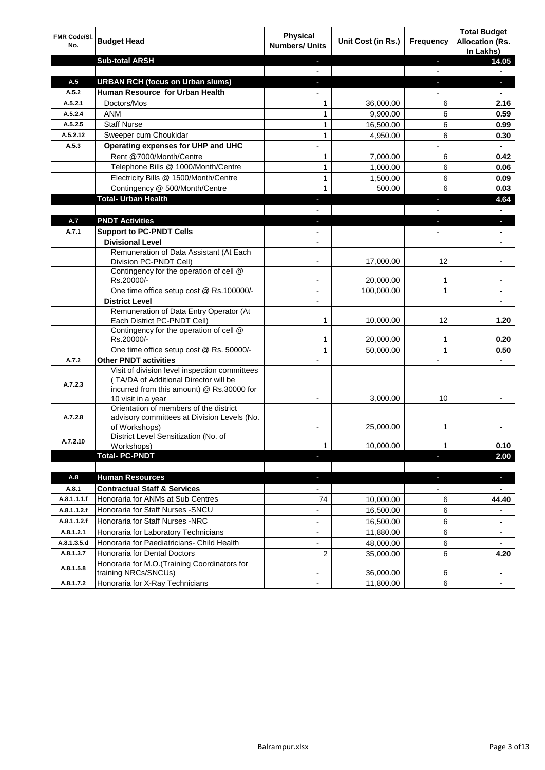| FMR Code/SI.<br>No. | <b>Budget Head</b>                                                                                                                                        | Physical<br><b>Numbers/ Units</b> | Unit Cost (in Rs.) | <b>Frequency</b>         | <b>Total Budget</b><br><b>Allocation (Rs.</b><br>In Lakhs) |
|---------------------|-----------------------------------------------------------------------------------------------------------------------------------------------------------|-----------------------------------|--------------------|--------------------------|------------------------------------------------------------|
|                     | <b>Sub-total ARSH</b>                                                                                                                                     | J,                                |                    | $\blacksquare$           | 14.05                                                      |
|                     |                                                                                                                                                           | $\overline{a}$                    |                    | $\mathbf{r}$             | $\blacksquare$                                             |
| A.5                 | <b>URBAN RCH (focus on Urban slums)</b>                                                                                                                   | $\overline{\phantom{a}}$          |                    | $\blacksquare$           | ٠                                                          |
| A.5.2               | Human Resource for Urban Health                                                                                                                           |                                   |                    |                          | $\blacksquare$                                             |
| A.5.2.1             | Doctors/Mos                                                                                                                                               | 1                                 | 36,000.00          | 6                        | 2.16                                                       |
| A.5.2.4             | <b>ANM</b>                                                                                                                                                | $\mathbf{1}$                      | 9,900.00           | 6                        | 0.59                                                       |
| A.5.2.5             | <b>Staff Nurse</b>                                                                                                                                        | $\mathbf{1}$                      | 16,500.00          | 6                        | 0.99                                                       |
| A.5.2.12            | Sweeper cum Choukidar                                                                                                                                     | 1                                 | 4,950.00           | 6                        | 0.30                                                       |
| A.5.3               | Operating expenses for UHP and UHC                                                                                                                        |                                   |                    |                          | ٠                                                          |
|                     | Rent @7000/Month/Centre                                                                                                                                   | 1                                 | 7,000.00           | 6                        | 0.42                                                       |
|                     | Telephone Bills @ 1000/Month/Centre                                                                                                                       | $\mathbf{1}$                      | 1,000.00           | 6                        | 0.06                                                       |
|                     | Electricity Bills @ 1500/Month/Centre                                                                                                                     | $\mathbf{1}$                      | 1,500.00           | 6                        | 0.09                                                       |
|                     | Contingency @ 500/Month/Centre                                                                                                                            | $\mathbf{1}$                      | 500.00             | 6                        | 0.03                                                       |
|                     | <b>Total- Urban Health</b>                                                                                                                                |                                   |                    | г                        | 4.64                                                       |
|                     |                                                                                                                                                           |                                   |                    |                          |                                                            |
| A.7                 | <b>PNDT Activities</b>                                                                                                                                    |                                   |                    | н                        | a,                                                         |
| A.7.1               | <b>Support to PC-PNDT Cells</b><br><b>Divisional Level</b>                                                                                                |                                   |                    |                          |                                                            |
|                     | Remuneration of Data Assistant (At Each                                                                                                                   |                                   |                    |                          |                                                            |
|                     | Division PC-PNDT Cell)                                                                                                                                    |                                   | 17,000.00          | 12                       |                                                            |
|                     | Contingency for the operation of cell @<br>Rs.20000/-                                                                                                     | $\blacksquare$                    | 20,000.00          | 1                        | ۰                                                          |
|                     | One time office setup cost @ Rs.100000/-                                                                                                                  | $\blacksquare$                    | 100,000.00         | 1                        | ٠                                                          |
|                     | <b>District Level</b>                                                                                                                                     | $\blacksquare$                    |                    |                          | ٠                                                          |
|                     | Remuneration of Data Entry Operator (At<br>Each District PC-PNDT Cell)                                                                                    | 1                                 | 10,000.00          | 12                       | 1.20                                                       |
|                     | Contingency for the operation of cell @<br>Rs.20000/-                                                                                                     | 1                                 | 20,000.00          | 1                        | 0.20                                                       |
|                     | One time office setup cost @ Rs. 50000/-                                                                                                                  | 1                                 | 50,000.00          | 1                        | 0.50                                                       |
| A.7.2               | <b>Other PNDT activities</b>                                                                                                                              |                                   |                    |                          |                                                            |
| A.7.2.3             | Visit of division level inspection committees<br>(TA/DA of Additional Director will be<br>incurred from this amount) @ Rs.30000 for<br>10 visit in a year |                                   | 3,000.00           | 10                       |                                                            |
| A.7.2.8             | Orientation of members of the district<br>advisory committees at Division Levels (No.<br>of Workshops)                                                    |                                   | 25,000.00          | 1                        |                                                            |
| A.7.2.10            | District Level Sensitization (No. of<br>Workshops)                                                                                                        | 1                                 | 10,000.00          | 1                        | 0.10                                                       |
|                     | <b>Total-PC-PNDT</b>                                                                                                                                      |                                   |                    | ٠                        | 2.00                                                       |
|                     |                                                                                                                                                           |                                   |                    |                          |                                                            |
| A.8                 | <b>Human Resources</b>                                                                                                                                    | ٠                                 |                    | $\blacksquare$           | ٠                                                          |
| A.8.1               | <b>Contractual Staff &amp; Services</b>                                                                                                                   | $\overline{\phantom{a}}$          |                    | $\overline{\phantom{a}}$ | $\blacksquare$                                             |
| A.8.1.1.1.f         | Honoraria for ANMs at Sub Centres                                                                                                                         | 74                                | 10,000.00          | 6                        | 44.40                                                      |
| A.8.1.1.2.f         | Honoraria for Staff Nurses - SNCU                                                                                                                         |                                   | 16,500.00          | 6                        |                                                            |
| A.8.1.1.2.f         | Honoraria for Staff Nurses -NRC                                                                                                                           | $\overline{\phantom{a}}$          | 16,500.00          | 6                        | ۰.                                                         |
| A.8.1.2.1           | Honoraria for Laboratory Technicians                                                                                                                      | $\overline{\phantom{a}}$          | 11,880.00          | 6                        | $\blacksquare$                                             |
| A.8.1.3.5.d         | Honoraria for Paediatricians- Child Health                                                                                                                | $\overline{\phantom{a}}$          | 48,000.00          | 6                        | $\blacksquare$                                             |
| A.8.1.3.7           | Honoraria for Dental Doctors                                                                                                                              | 2                                 | 35,000.00          | 6                        | 4.20                                                       |
| A.8.1.5.8           | Honoraria for M.O.(Training Coordinators for<br>training NRCs/SNCUs)                                                                                      |                                   | 36,000.00          | 6                        |                                                            |
| A.8.1.7.2           | Honoraria for X-Ray Technicians                                                                                                                           |                                   | 11,800.00          | 6                        |                                                            |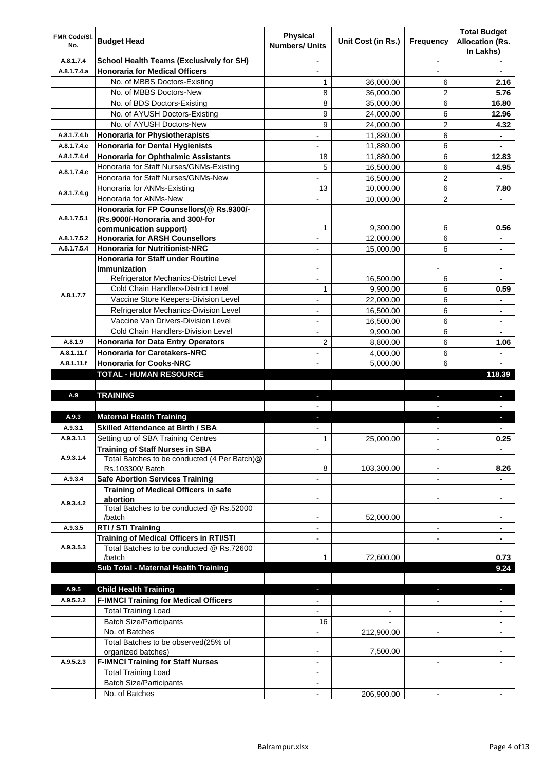| FMR Code/SI. |                                                                 | <b>Physical</b>          |                       |                          | <b>Total Budget</b>                 |
|--------------|-----------------------------------------------------------------|--------------------------|-----------------------|--------------------------|-------------------------------------|
| No.          | <b>Budget Head</b>                                              | <b>Numbers/ Units</b>    | Unit Cost (in Rs.)    | Frequency                | <b>Allocation (Rs.</b><br>In Lakhs) |
| A.8.1.7.4    | <b>School Health Teams (Exclusively for SH)</b>                 | $\overline{\phantom{a}}$ |                       | $\blacksquare$           | ٠                                   |
| A.8.1.7.4.a  | <b>Honoraria for Medical Officers</b>                           |                          |                       |                          |                                     |
|              | No. of MBBS Doctors-Existing                                    | 1                        | 36,000.00             | 6                        | 2.16                                |
|              | No. of MBBS Doctors-New                                         | 8                        | 36,000.00             | $\overline{2}$           | 5.76                                |
|              | No. of BDS Doctors-Existing                                     | 8                        | 35,000.00             | 6                        | 16.80                               |
|              | No. of AYUSH Doctors-Existing                                   | 9                        | 24,000.00             | 6                        | 12.96                               |
|              | No. of AYUSH Doctors-New                                        | 9                        | 24,000.00             | $\overline{2}$           | 4.32                                |
| A.8.1.7.4.b  | <b>Honoraria for Physiotherapists</b>                           |                          | 11,880.00             | 6                        |                                     |
| A.8.1.7.4.c  | <b>Honoraria for Dental Hygienists</b>                          |                          | 11,880.00             | 6                        | ٠                                   |
| A.8.1.7.4.d  | Honoraria for Ophthalmic Assistants                             | 18                       | 11,880.00             | 6                        | 12.83                               |
| A.8.1.7.4.e  | Honoraria for Staff Nurses/GNMs-Existing                        | 5                        | 16,500.00             | 6                        | 4.95                                |
|              | Honoraria for Staff Nurses/GNMs-New                             |                          | 16,500.00             | $\overline{2}$           |                                     |
| A.8.1.7.4.g  | Honoraria for ANMs-Existing                                     | 13                       | 10,000.00             | 6                        | 7.80                                |
|              | Honoraria for ANMs-New                                          |                          | 10,000.00             | $\overline{2}$           | $\blacksquare$                      |
|              | Honoraria for FP Counsellors(@ Rs.9300/-                        |                          |                       |                          |                                     |
| A.8.1.7.5.1  | (Rs.9000/-Honoraria and 300/-for                                |                          |                       |                          |                                     |
|              | communication support)                                          | 1                        | 9.300.00              | 6                        | 0.56                                |
| A.8.1.7.5.2  | <b>Honoraria for ARSH Counsellors</b>                           |                          | 12,000.00             | 6                        |                                     |
| A.8.1.7.5.4  | <b>Honoraria for Nutritionist-NRC</b>                           |                          | 15,000.00             | 6                        |                                     |
|              | <b>Honoraria for Staff under Routine</b><br><b>Immunization</b> |                          |                       |                          |                                     |
|              | Refrigerator Mechanics-District Level                           |                          | 16,500.00             | 6                        | ۰                                   |
|              | Cold Chain Handlers-District Level                              | 1                        | 9,900.00              | 6                        | 0.59                                |
| A.8.1.7.7    | Vaccine Store Keepers-Division Level                            |                          | 22,000.00             | 6                        |                                     |
|              | Refrigerator Mechanics-Division Level                           |                          |                       | 6                        |                                     |
|              | Vaccine Van Drivers-Division Level                              |                          | 16,500.00             | 6                        | ۰                                   |
|              | Cold Chain Handlers-Division Level                              |                          | 16,500.00<br>9,900.00 | 6                        | ۰                                   |
| A.8.1.9      | <b>Honoraria for Data Entry Operators</b>                       | 2                        |                       | 6                        | 1.06                                |
| A.8.1.11.f   | <b>Honoraria for Caretakers-NRC</b>                             |                          | 8,800.00              |                          |                                     |
| A.8.1.11.f   | <b>Honoraria for Cooks-NRC</b>                                  |                          | 4,000.00<br>5,000.00  | 6<br>6                   | $\blacksquare$                      |
|              | <b>TOTAL - HUMAN RESOURCE</b>                                   |                          |                       |                          | 118.39                              |
|              |                                                                 |                          |                       |                          |                                     |
| A.9          | <b>TRAINING</b>                                                 | ÷.                       |                       | $\blacksquare$           | J,                                  |
|              |                                                                 |                          |                       |                          |                                     |
| A.9.3        | <b>Maternal Health Training</b>                                 | ٠                        |                       | ٠                        |                                     |
| A.9.3.1      | <b>Skilled Attendance at Birth / SBA</b>                        |                          |                       |                          | ۰                                   |
| A.9.3.1.1    | Setting up of SBA Training Centres                              | 1                        | 25,000.00             | $\overline{\phantom{a}}$ | 0.25                                |
|              | <b>Training of Staff Nurses in SBA</b>                          | $\overline{a}$           |                       |                          |                                     |
| A.9.3.1.4    | Total Batches to be conducted (4 Per Batch)@                    |                          |                       |                          |                                     |
|              | Rs.103300/ Batch                                                | 8                        | 103,300.00            |                          | 8.26                                |
| A.9.3.4      | <b>Safe Abortion Services Training</b>                          |                          |                       | $\blacksquare$           |                                     |
|              | <b>Training of Medical Officers in safe</b>                     |                          |                       |                          |                                     |
| A.9.3.4.2    | abortion                                                        |                          |                       | $\overline{a}$           | ۰                                   |
|              | Total Batches to be conducted @ Rs.52000                        |                          |                       |                          |                                     |
|              | /batch                                                          |                          | 52,000.00             |                          | ۰                                   |
| A.9.3.5      | RTI / STI Training                                              | $\blacksquare$           |                       | $\blacksquare$           | ٠                                   |
|              | <b>Training of Medical Officers in RTI/STI</b>                  | $\blacksquare$           |                       | $\overline{a}$           | ٠                                   |
| A.9.3.5.3    | Total Batches to be conducted @ Rs.72600                        |                          |                       |                          |                                     |
|              | /batch                                                          | 1                        | 72,600.00             |                          | 0.73                                |
|              | Sub Total - Maternal Health Training                            |                          |                       |                          | 9.24                                |
|              |                                                                 |                          |                       |                          |                                     |
| A.9.5        | <b>Child Health Training</b>                                    |                          |                       |                          | ×,                                  |
| A.9.5.2.2    | <b>F-IMNCI Training for Medical Officers</b>                    |                          |                       |                          |                                     |
|              | <b>Total Training Load</b>                                      |                          |                       |                          |                                     |
|              | <b>Batch Size/Participants</b>                                  | 16                       |                       |                          |                                     |
|              | No. of Batches                                                  |                          | 212,900.00            | $\blacksquare$           |                                     |
|              | Total Batches to be observed(25% of                             |                          | 7,500.00              |                          |                                     |
| A.9.5.2.3    | organized batches)<br><b>F-IMNCI Training for Staff Nurses</b>  |                          |                       | $\blacksquare$           |                                     |
|              | <b>Total Training Load</b>                                      | $\blacksquare$           |                       |                          |                                     |
|              | <b>Batch Size/Participants</b>                                  |                          |                       |                          |                                     |
|              | No. of Batches                                                  |                          | 206,900.00            |                          |                                     |
|              |                                                                 |                          |                       |                          |                                     |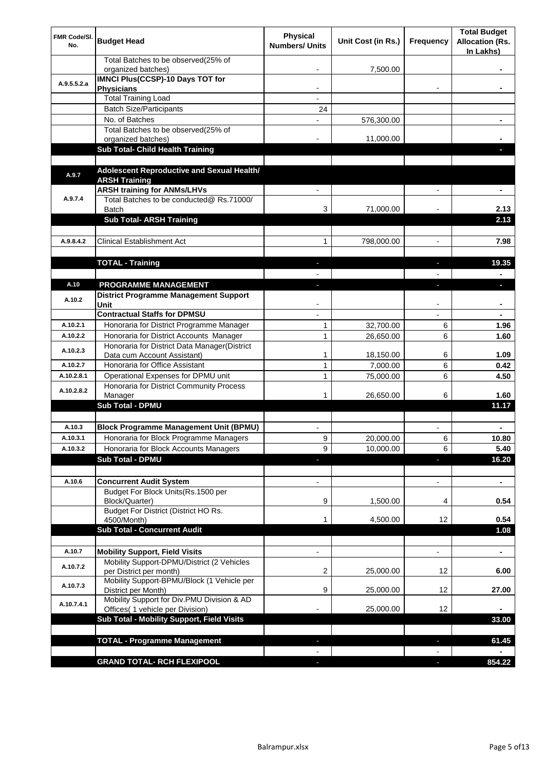| FMR Code/SI.<br>No. | <b>Budget Head</b>                                                             | <b>Physical</b><br><b>Numbers/ Units</b> | Unit Cost (in Rs.) | <b>Frequency</b>         | <b>Total Budget</b><br><b>Allocation (Rs.</b><br>In Lakhs) |
|---------------------|--------------------------------------------------------------------------------|------------------------------------------|--------------------|--------------------------|------------------------------------------------------------|
|                     | Total Batches to be observed(25% of<br>organized batches)                      |                                          | 7,500.00           |                          |                                                            |
| A.9.5.5.2.a         | <b>IMNCI Plus(CCSP)-10 Days TOT for</b><br><b>Physicians</b>                   | $\overline{\phantom{a}}$                 |                    |                          | ۰                                                          |
|                     | <b>Total Training Load</b>                                                     |                                          |                    |                          |                                                            |
|                     | <b>Batch Size/Participants</b>                                                 | 24                                       |                    |                          |                                                            |
|                     | No. of Batches                                                                 |                                          | 576,300.00         |                          |                                                            |
|                     | Total Batches to be observed(25% of<br>organized batches)                      |                                          | 11,000.00          |                          |                                                            |
|                     | Sub Total- Child Health Training                                               |                                          |                    |                          |                                                            |
|                     |                                                                                |                                          |                    |                          |                                                            |
| A.9.7               | Adolescent Reproductive and Sexual Health/<br><b>ARSH Training</b>             |                                          |                    |                          |                                                            |
| A.9.7.4             | <b>ARSH training for ANMs/LHVs</b><br>Total Batches to be conducted@ Rs.71000/ |                                          |                    |                          |                                                            |
|                     | Batch                                                                          | 3                                        | 71,000.00          |                          | 2.13                                                       |
|                     | <b>Sub Total- ARSH Training</b>                                                |                                          |                    |                          | 2.13                                                       |
| A.9.8.4.2           | <b>Clinical Establishment Act</b>                                              | 1                                        | 798,000.00         |                          | 7.98                                                       |
|                     |                                                                                |                                          |                    |                          |                                                            |
|                     | <b>TOTAL - Training</b>                                                        |                                          |                    | J,                       | 19.35                                                      |
|                     |                                                                                |                                          |                    |                          |                                                            |
| A.10                | PROGRAMME MANAGEMENT<br><b>District Programme Management Support</b>           |                                          |                    | г                        | D.                                                         |
| A.10.2              | Unit                                                                           |                                          |                    |                          |                                                            |
|                     | <b>Contractual Staffs for DPMSU</b>                                            |                                          |                    |                          |                                                            |
| A.10.2.1            | Honoraria for District Programme Manager                                       | 1                                        | 32,700.00          | 6                        | 1.96                                                       |
| A.10.2.2            | Honoraria for District Accounts Manager                                        | 1                                        | 26,650.00          | 6                        | 1.60                                                       |
| A.10.2.3            | Honoraria for District Data Manager(District<br>Data cum Account Assistant)    | 1                                        | 18,150.00          | 6                        | 1.09                                                       |
| A.10.2.7            | Honoraria for Office Assistant                                                 | 1                                        | 7,000.00           | 6                        | 0.42                                                       |
| A.10.2.8.1          | Operational Expenses for DPMU unit                                             | 1                                        | 75,000.00          | 6                        | 4.50                                                       |
| A.10.2.8.2          | Honoraria for District Community Process                                       | 1                                        | 26,650.00          | 6                        | 1.60                                                       |
|                     | Manager<br><b>Sub Total - DPMU</b>                                             |                                          |                    |                          | 11.17                                                      |
|                     |                                                                                |                                          |                    |                          |                                                            |
| A.10.3              | <b>Block Programme Management Unit (BPMU)</b>                                  |                                          |                    |                          |                                                            |
| A.10.3.1            | Honoraria for Block Programme Managers                                         | 9                                        | 20,000.00          | 6                        | 10.80                                                      |
| A.10.3.2            | Honoraria for Block Accounts Managers                                          | 9                                        | 10,000.00          | 6                        | 5.40                                                       |
|                     | <b>Sub Total - DPMU</b>                                                        |                                          |                    | п                        | 16.20                                                      |
| A.10.6              | <b>Concurrent Audit System</b>                                                 |                                          |                    | $\overline{\phantom{a}}$ | $\blacksquare$                                             |
|                     | Budget For Block Units(Rs.1500 per                                             |                                          |                    |                          |                                                            |
|                     | Block/Quarter)<br>Budget For District (District HO Rs.                         | 9                                        | 1,500.00           | 4                        | 0.54                                                       |
|                     | 4500/Month)                                                                    | 1                                        | 4,500.00           | 12                       | 0.54                                                       |
|                     | <b>Sub Total - Concurrent Audit</b>                                            |                                          |                    |                          | 1.08                                                       |
|                     |                                                                                |                                          |                    |                          |                                                            |
| A.10.7              | <b>Mobility Support, Field Visits</b>                                          |                                          |                    |                          | ۰                                                          |
| A.10.7.2            | Mobility Support-DPMU/District (2 Vehicles<br>per District per month)          | 2                                        | 25,000.00          | 12                       | 6.00                                                       |
| A.10.7.3            | Mobility Support-BPMU/Block (1 Vehicle per<br>District per Month)              | 9                                        | 25,000.00          | 12                       | 27.00                                                      |
| A.10.7.4.1          | Mobility Support for Div.PMU Division & AD                                     |                                          |                    |                          |                                                            |
|                     | Offices( 1 vehicle per Division)<br>Sub Total - Mobility Support, Field Visits |                                          | 25,000.00          | 12                       | 33.00                                                      |
|                     |                                                                                |                                          |                    |                          |                                                            |
|                     | <b>TOTAL - Programme Management</b>                                            |                                          |                    |                          | 61.45                                                      |
|                     |                                                                                |                                          |                    |                          |                                                            |
|                     | <b>GRAND TOTAL- RCH FLEXIPOOL</b>                                              |                                          |                    |                          | 854.22                                                     |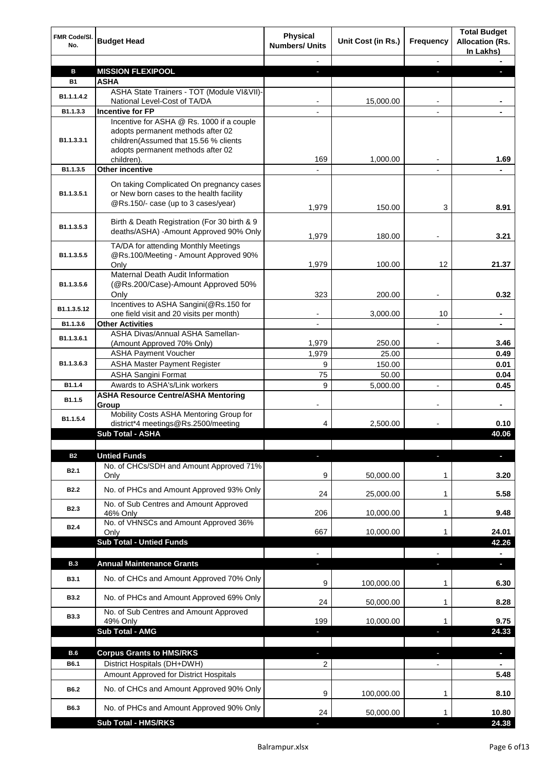| FMR Code/SI.<br>No. | <b>Budget Head</b>                                                                                                                                                         | <b>Physical</b><br><b>Numbers/ Units</b> | Unit Cost (in Rs.) | <b>Frequency</b> | <b>Total Budget</b><br><b>Allocation (Rs.</b><br>In Lakhs) |
|---------------------|----------------------------------------------------------------------------------------------------------------------------------------------------------------------------|------------------------------------------|--------------------|------------------|------------------------------------------------------------|
|                     |                                                                                                                                                                            |                                          |                    |                  |                                                            |
| в                   | <b>MISSION FLEXIPOOL</b>                                                                                                                                                   |                                          |                    |                  |                                                            |
| <b>B1</b>           | ASHA                                                                                                                                                                       |                                          |                    |                  |                                                            |
| B1.1.1.4.2          | ASHA State Trainers - TOT (Module VI&VII)-<br>National Level-Cost of TA/DA                                                                                                 |                                          | 15,000.00          | $\blacksquare$   |                                                            |
| B1.1.3.3            | <b>Incentive for FP</b>                                                                                                                                                    |                                          |                    |                  |                                                            |
| B1.1.3.3.1          | Incentive for ASHA @ Rs. 1000 if a couple<br>adopts permanent methods after 02<br>children(Assumed that 15.56 % clients<br>adopts permanent methods after 02<br>children). | 169                                      | 1,000.00           |                  | 1.69                                                       |
| B1.1.3.5            | Other incentive                                                                                                                                                            |                                          |                    |                  |                                                            |
| B1.1.3.5.1          | On taking Complicated On pregnancy cases<br>or New born cases to the health facility<br>@Rs.150/- case (up to 3 cases/year)                                                | 1,979                                    | 150.00             | 3                | 8.91                                                       |
| B1.1.3.5.3          | Birth & Death Registration (For 30 birth & 9<br>deaths/ASHA) - Amount Approved 90% Only                                                                                    | 1,979                                    | 180.00             |                  | 3.21                                                       |
| B1.1.3.5.5          | TA/DA for attending Monthly Meetings<br>@Rs.100/Meeting - Amount Approved 90%                                                                                              |                                          |                    |                  |                                                            |
|                     | Only                                                                                                                                                                       | 1,979                                    | 100.00             | 12               | 21.37                                                      |
| B1.1.3.5.6          | Maternal Death Audit Information<br>(@Rs.200/Case)-Amount Approved 50%<br>Only                                                                                             | 323                                      | 200.00             |                  | 0.32                                                       |
|                     | Incentives to ASHA Sangini(@Rs.150 for                                                                                                                                     |                                          |                    |                  |                                                            |
| B1.1.3.5.12         | one field visit and 20 visits per month)                                                                                                                                   |                                          | 3,000.00           | 10               |                                                            |
| B1.1.3.6            | <b>Other Activities</b>                                                                                                                                                    |                                          |                    |                  |                                                            |
| B1.1.3.6.1          | ASHA Divas/Annual ASHA Samellan-                                                                                                                                           |                                          |                    |                  |                                                            |
|                     | (Amount Approved 70% Only)                                                                                                                                                 | 1,979                                    | 250.00             |                  | 3.46                                                       |
|                     | <b>ASHA Payment Voucher</b>                                                                                                                                                | 1,979                                    | 25.00              |                  | 0.49                                                       |
| B1.1.3.6.3          | <b>ASHA Master Payment Register</b>                                                                                                                                        | 9                                        | 150.00             |                  | 0.01                                                       |
| B1.1.4              | <b>ASHA Sangini Format</b><br>Awards to ASHA's/Link workers                                                                                                                | 75<br>9                                  | 50.00<br>5,000.00  | $\blacksquare$   | 0.04<br>0.45                                               |
| B1.1.5              | <b>ASHA Resource Centre/ASHA Mentoring</b>                                                                                                                                 |                                          |                    |                  |                                                            |
| B1.1.5.4            | Group<br>Mobility Costs ASHA Mentoring Group for<br>district*4 meetings@Rs.2500/meeting                                                                                    | 4                                        | 2,500.00           |                  | 0.10                                                       |
|                     | Sub Total - ASHA                                                                                                                                                           |                                          |                    |                  | 40.06                                                      |
|                     |                                                                                                                                                                            |                                          |                    |                  |                                                            |
| <b>B2</b>           | <b>Untied Funds</b>                                                                                                                                                        | н                                        |                    |                  |                                                            |
| B <sub>2.1</sub>    | No. of CHCs/SDH and Amount Approved 71%<br>Only                                                                                                                            | 9                                        | 50,000.00          | 1                | 3.20                                                       |
| B <sub>2.2</sub>    | No. of PHCs and Amount Approved 93% Only                                                                                                                                   | 24                                       | 25,000.00          | 1                | 5.58                                                       |
| B <sub>2.3</sub>    | No. of Sub Centres and Amount Approved<br>46% Only                                                                                                                         | 206                                      | 10,000.00          | 1                | 9.48                                                       |
| B <sub>2.4</sub>    | No. of VHNSCs and Amount Approved 36%<br>Only                                                                                                                              | 667                                      | 10,000.00          | 1                | 24.01                                                      |
|                     | <b>Sub Total - Untied Funds</b>                                                                                                                                            |                                          |                    |                  | 42.26                                                      |
| <b>B.3</b>          | <b>Annual Maintenance Grants</b>                                                                                                                                           |                                          |                    |                  |                                                            |
| B3.1                | No. of CHCs and Amount Approved 70% Only                                                                                                                                   | L.<br>9                                  | 100,000.00         | 1                | 6.30                                                       |
| <b>B3.2</b>         | No. of PHCs and Amount Approved 69% Only                                                                                                                                   | 24                                       | 50,000.00          | 1                | 8.28                                                       |
| <b>B3.3</b>         | No. of Sub Centres and Amount Approved<br>49% Only                                                                                                                         | 199                                      | 10,000.00          | 1                | 9.75                                                       |
|                     | Sub Total - AMG                                                                                                                                                            | $\blacksquare$                           |                    | г                | 24.33                                                      |
|                     |                                                                                                                                                                            |                                          |                    |                  |                                                            |
| <b>B.6</b>          | <b>Corpus Grants to HMS/RKS</b>                                                                                                                                            |                                          |                    |                  | U                                                          |
| B6.1                | District Hospitals (DH+DWH)                                                                                                                                                | 2                                        |                    |                  |                                                            |
|                     | Amount Approved for District Hospitals                                                                                                                                     |                                          |                    |                  | 5.48                                                       |
| B6.2                | No. of CHCs and Amount Approved 90% Only                                                                                                                                   | 9                                        | 100,000.00         | 1                | 8.10                                                       |
| B6.3                | No. of PHCs and Amount Approved 90% Only                                                                                                                                   | 24                                       | 50,000.00          |                  | 10.80                                                      |
|                     | <b>Sub Total - HMS/RKS</b>                                                                                                                                                 |                                          |                    |                  | 24.38                                                      |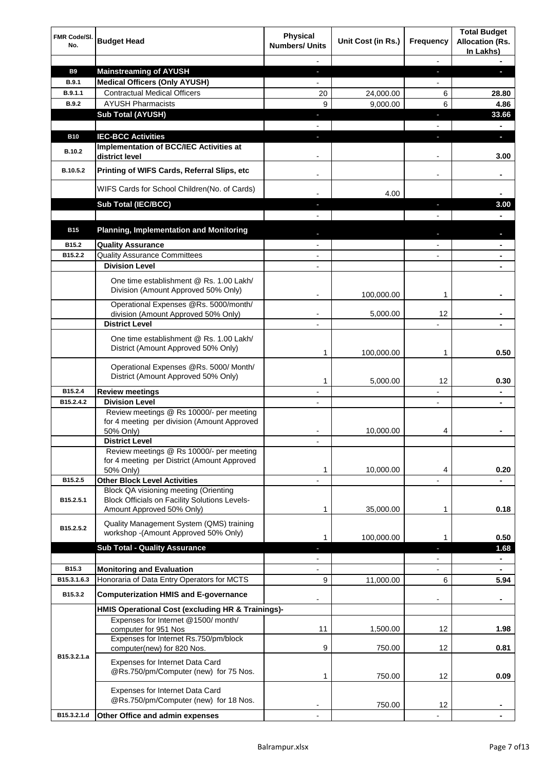| FMR Code/SI.<br>No.  | <b>Budget Head</b>                                                                                                                | Physical<br><b>Numbers/ Units</b> | Unit Cost (in Rs.) | <b>Frequency</b> | <b>Total Budget</b><br><b>Allocation (Rs.</b><br>In Lakhs) |
|----------------------|-----------------------------------------------------------------------------------------------------------------------------------|-----------------------------------|--------------------|------------------|------------------------------------------------------------|
|                      |                                                                                                                                   |                                   |                    |                  |                                                            |
| <b>B9</b>            | <b>Mainstreaming of AYUSH</b>                                                                                                     | J,                                |                    | ٠                | L                                                          |
| B.9.1                | <b>Medical Officers (Only AYUSH)</b>                                                                                              |                                   |                    |                  |                                                            |
| B.9.1.1              | <b>Contractual Medical Officers</b>                                                                                               | 20                                | 24,000.00          | 6                | 28.80                                                      |
| <b>B.9.2</b>         | <b>AYUSH Pharmacists</b>                                                                                                          | 9                                 | 9,000.00           | 6                | 4.86                                                       |
|                      | <b>Sub Total (AYUSH)</b>                                                                                                          |                                   |                    |                  | 33.66                                                      |
|                      |                                                                                                                                   |                                   |                    |                  |                                                            |
| <b>B10</b><br>B.10.2 | <b>IEC-BCC Activities</b><br><b>Implementation of BCC/IEC Activities at</b>                                                       |                                   |                    |                  | L.                                                         |
| B.10.5.2             | district level<br>Printing of WIFS Cards, Referral Slips, etc                                                                     |                                   |                    |                  | 3.00                                                       |
|                      | WIFS Cards for School Children(No. of Cards)                                                                                      |                                   | 4.00               |                  |                                                            |
|                      | Sub Total (IEC/BCC)                                                                                                               | ٠                                 |                    | J,               | 3.00                                                       |
|                      |                                                                                                                                   |                                   |                    |                  |                                                            |
| <b>B15</b>           | <b>Planning, Implementation and Monitoring</b>                                                                                    |                                   |                    |                  |                                                            |
|                      |                                                                                                                                   |                                   |                    |                  |                                                            |
| B <sub>15.2</sub>    | <b>Quality Assurance</b>                                                                                                          |                                   |                    |                  |                                                            |
| B15.2.2              | <b>Quality Assurance Committees</b>                                                                                               |                                   |                    |                  |                                                            |
|                      | <b>Division Level</b>                                                                                                             |                                   |                    |                  |                                                            |
|                      | One time establishment @ Rs. 1.00 Lakh/<br>Division (Amount Approved 50% Only)                                                    |                                   | 100,000.00         | 1                |                                                            |
|                      | Operational Expenses @Rs. 5000/month/                                                                                             |                                   |                    |                  |                                                            |
|                      | division (Amount Approved 50% Only)                                                                                               | $\overline{\phantom{a}}$          | 5,000.00           | 12               | ٠                                                          |
|                      | <b>District Level</b>                                                                                                             |                                   |                    |                  |                                                            |
|                      | One time establishment @ Rs. 1.00 Lakh/<br>District (Amount Approved 50% Only)                                                    |                                   |                    |                  |                                                            |
|                      | Operational Expenses @Rs. 5000/ Month/                                                                                            | 1                                 | 100,000.00         | 1                | 0.50                                                       |
|                      | District (Amount Approved 50% Only)                                                                                               | 1                                 | 5.000.00           | 12               | 0.30                                                       |
| B15.2.4              | <b>Review meetings</b>                                                                                                            |                                   |                    |                  |                                                            |
| B15.2.4.2            | <b>Division Level</b>                                                                                                             | $\blacksquare$                    |                    | $\overline{a}$   | ۰                                                          |
|                      | Review meetings @ Rs 10000/- per meeting<br>for 4 meeting per division (Amount Approved<br>50% Only)                              |                                   | 10,000.00          | 4                |                                                            |
|                      | <b>District Level</b>                                                                                                             |                                   |                    |                  |                                                            |
|                      | Review meetings @ Rs 10000/- per meeting<br>for 4 meeting per District (Amount Approved<br>50% Only)                              | 1                                 | 10,000.00          | 4                | 0.20                                                       |
| B15.2.5              | <b>Other Block Level Activities</b>                                                                                               |                                   |                    |                  |                                                            |
| B15.2.5.1            | <b>Block QA visioning meeting (Orienting</b><br><b>Block Officials on Facility Solutions Levels-</b><br>Amount Approved 50% Only) | 1                                 | 35,000.00          | 1                | 0.18                                                       |
| B15.2.5.2            | Quality Management System (QMS) training<br>workshop -(Amount Approved 50% Only)                                                  |                                   |                    |                  |                                                            |
|                      |                                                                                                                                   | 1                                 | 100,000.00         | 1                | 0.50                                                       |
|                      | <b>Sub Total - Quality Assurance</b>                                                                                              |                                   |                    |                  | 1.68                                                       |
| B <sub>15.3</sub>    |                                                                                                                                   |                                   |                    | $\overline{a}$   | ٠                                                          |
| B15.3.1.6.3          | <b>Monitoring and Evaluation</b><br>Honoraria of Data Entry Operators for MCTS                                                    | 9                                 |                    | 6                | 5.94                                                       |
|                      |                                                                                                                                   |                                   | 11,000.00          |                  |                                                            |
| B15.3.2              | <b>Computerization HMIS and E-governance</b><br>HMIS Operational Cost (excluding HR & Trainings)-                                 |                                   |                    | -                | ٠                                                          |
|                      | Expenses for Internet @1500/month/                                                                                                |                                   |                    |                  |                                                            |
|                      | computer for 951 Nos                                                                                                              | 11                                | 1,500.00           | 12               | 1.98                                                       |
|                      | Expenses for Internet Rs.750/pm/block<br>computer(new) for 820 Nos.                                                               | 9                                 | 750.00             | 12               | 0.81                                                       |
| B15.3.2.1.a          | Expenses for Internet Data Card<br>@Rs.750/pm/Computer (new) for 75 Nos.                                                          | 1                                 | 750.00             | 12               | 0.09                                                       |
|                      | Expenses for Internet Data Card<br>@Rs.750/pm/Computer (new) for 18 Nos.                                                          |                                   | 750.00             | 12               |                                                            |
| B15.3.2.1.d          | Other Office and admin expenses                                                                                                   |                                   |                    |                  |                                                            |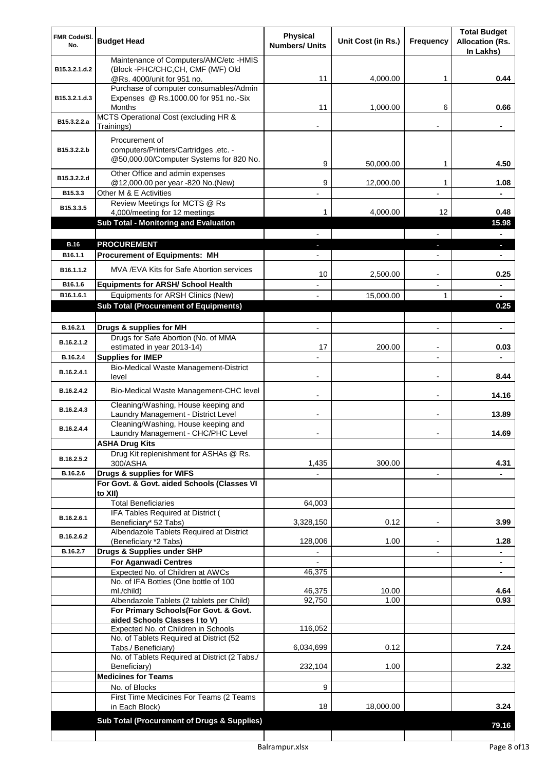| FMR Code/SI.<br>No.   | <b>Budget Head</b>                                                                                 | <b>Physical</b><br><b>Numbers/ Units</b> | Unit Cost (in Rs.) | <b>Frequency</b>         | <b>Total Budget</b><br><b>Allocation (Rs.</b><br>In Lakhs) |
|-----------------------|----------------------------------------------------------------------------------------------------|------------------------------------------|--------------------|--------------------------|------------------------------------------------------------|
| B15.3.2.1.d.2         | Maintenance of Computers/AMC/etc -HMIS<br>(Block -PHC/CHC,CH, CMF (M/F) Old                        |                                          |                    |                          |                                                            |
|                       | @Rs. 4000/unit for 951 no.<br>Purchase of computer consumables/Admin                               | 11                                       | 4.000.00           | 1                        | 0.44                                                       |
| B15.3.2.1.d.3         | Expenses @ Rs.1000.00 for 951 no.-Six<br>Months                                                    | 11                                       | 1,000.00           | 6                        | 0.66                                                       |
| B15.3.2.2.a           | MCTS Operational Cost (excluding HR &<br>Trainings)                                                |                                          |                    |                          |                                                            |
| B15.3.2.2.b           | Procurement of<br>computers/Printers/Cartridges, etc. -<br>@50,000.00/Computer Systems for 820 No. | 9                                        | 50,000.00          | 1                        | 4.50                                                       |
| B15.3.2.2.d           | Other Office and admin expenses<br>@12,000.00 per year -820 No.(New)                               | 9                                        | 12,000.00          | 1                        | 1.08                                                       |
| B15.3.3               | Other M & E Activities                                                                             |                                          |                    |                          |                                                            |
| B15.3.3.5             | Review Meetings for MCTS @ Rs<br>4,000/meeting for 12 meetings                                     |                                          | 4,000.00           | 12                       | 0.48                                                       |
|                       | <b>Sub Total - Monitoring and Evaluation</b>                                                       |                                          |                    |                          | 15.98                                                      |
|                       |                                                                                                    |                                          |                    |                          |                                                            |
| <b>B.16</b>           | <b>PROCUREMENT</b>                                                                                 |                                          |                    |                          |                                                            |
| B <sub>16.1.1</sub>   | <b>Procurement of Equipments: MH</b>                                                               |                                          |                    |                          |                                                            |
| B <sub>16.1.1.2</sub> | MVA /EVA Kits for Safe Abortion services                                                           | 10                                       | 2,500.00           |                          | 0.25                                                       |
| B16.1.6               | <b>Equipments for ARSH/ School Health</b>                                                          |                                          |                    |                          |                                                            |
| B16.1.6.1             | Equipments for ARSH Clinics (New)                                                                  |                                          | 15,000.00          | 1                        |                                                            |
|                       | <b>Sub Total (Procurement of Equipments)</b>                                                       |                                          |                    |                          | 0.25                                                       |
| B.16.2.1              | Drugs & supplies for MH                                                                            |                                          |                    |                          | $\blacksquare$                                             |
| B.16.2.1.2            | Drugs for Safe Abortion (No. of MMA                                                                |                                          |                    |                          |                                                            |
| B.16.2.4              | estimated in year 2013-14)<br><b>Supplies for IMEP</b>                                             | 17                                       | 200.00             | $\overline{\phantom{a}}$ | 0.03                                                       |
|                       | Bio-Medical Waste Management-District                                                              |                                          |                    |                          |                                                            |
| B.16.2.4.1            | level                                                                                              |                                          |                    |                          | 8.44                                                       |
| B.16.2.4.2            | Bio-Medical Waste Management-CHC level                                                             |                                          |                    | $\blacksquare$           | 14.16                                                      |
| B.16.2.4.3            | Cleaning/Washing, House keeping and<br>Laundry Management - District Level                         |                                          |                    |                          | 13.89                                                      |
| B.16.2.4.4            | Cleaning/Washing, House keeping and<br>Laundry Management - CHC/PHC Level                          |                                          |                    |                          | 14.69                                                      |
|                       | <b>ASHA Drug Kits</b><br>Drug Kit replenishment for ASHAs @ Rs.                                    |                                          |                    |                          |                                                            |
| B.16.2.5.2            | 300/ASHA                                                                                           | 1,435                                    | 300.00             |                          | 4.31                                                       |
| B.16.2.6              | Drugs & supplies for WIFS<br>For Govt. & Govt. aided Schools (Classes VI                           |                                          |                    | $\overline{\phantom{a}}$ |                                                            |
|                       | to XII)                                                                                            |                                          |                    |                          |                                                            |
|                       | <b>Total Beneficiaries</b>                                                                         | 64,003                                   |                    |                          |                                                            |
| B.16.2.6.1            | IFA Tables Required at District (<br>Beneficiary* 52 Tabs)                                         | 3,328,150                                | 0.12               |                          | 3.99                                                       |
| B.16.2.6.2            | Albendazole Tablets Required at District                                                           |                                          | 1.00               |                          |                                                            |
| B.16.2.7              | (Beneficiary *2 Tabs)<br>Drugs & Supplies under SHP                                                | 128,006                                  |                    |                          | 1.28<br>$\blacksquare$                                     |
|                       | <b>For Aganwadi Centres</b>                                                                        |                                          |                    |                          | $\blacksquare$                                             |
|                       | Expected No. of Children at AWCs                                                                   | 46,375                                   |                    |                          | ٠                                                          |
|                       | No. of IFA Bottles (One bottle of 100<br>ml./child)                                                | 46,375                                   | 10.00              |                          | 4.64                                                       |
|                       | Albendazole Tablets (2 tablets per Child)                                                          | 92,750                                   | 1.00               |                          | 0.93                                                       |
|                       | For Primary Schools(For Govt. & Govt.<br>aided Schools Classes I to V)                             |                                          |                    |                          |                                                            |
|                       | Expected No. of Children in Schools                                                                | 116,052                                  |                    |                          |                                                            |
|                       | No. of Tablets Required at District (52                                                            |                                          |                    |                          |                                                            |
|                       | Tabs./ Beneficiary)<br>No. of Tablets Required at District (2 Tabs./                               | 6,034,699                                | 0.12<br>1.00       |                          | 7.24<br>2.32                                               |
|                       | Beneficiary)<br><b>Medicines for Teams</b>                                                         | 232,104                                  |                    |                          |                                                            |
|                       | No. of Blocks                                                                                      | 9                                        |                    |                          |                                                            |
|                       | First Time Medicines For Teams (2 Teams<br>in Each Block)                                          | 18                                       | 18,000.00          |                          | 3.24                                                       |
|                       | Sub Total (Procurement of Drugs & Supplies)                                                        |                                          |                    |                          | 79.16                                                      |
|                       |                                                                                                    |                                          |                    |                          |                                                            |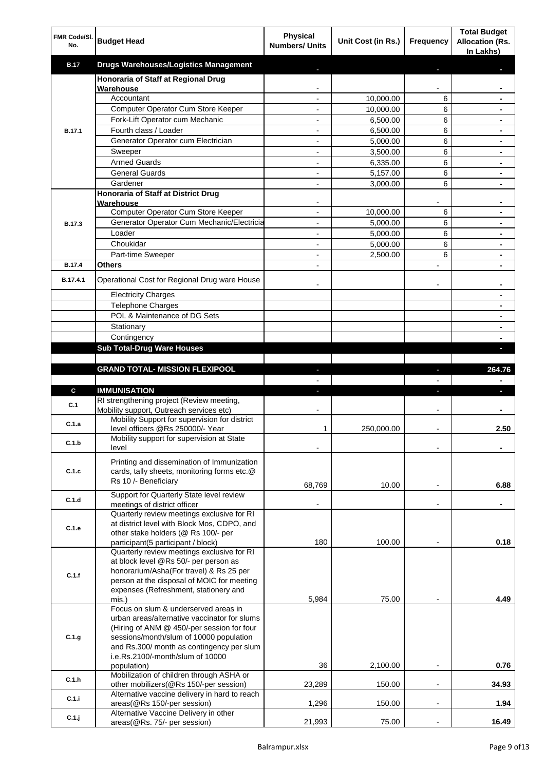| FMR Code/SI.<br>No. | <b>Budget Head</b>                                                                    | <b>Physical</b><br><b>Numbers/ Units</b> | Unit Cost (in Rs.) | <b>Frequency</b>         | <b>Total Budget</b><br><b>Allocation (Rs.</b><br>In Lakhs) |
|---------------------|---------------------------------------------------------------------------------------|------------------------------------------|--------------------|--------------------------|------------------------------------------------------------|
| <b>B.17</b>         | <b>Drugs Warehouses/Logistics Management</b>                                          |                                          |                    |                          |                                                            |
|                     | Honoraria of Staff at Regional Drug<br>Warehouse                                      |                                          |                    |                          |                                                            |
|                     | Accountant                                                                            |                                          | 10,000.00          | 6                        |                                                            |
|                     | Computer Operator Cum Store Keeper                                                    |                                          | 10,000.00          | 6                        |                                                            |
|                     | Fork-Lift Operator cum Mechanic                                                       |                                          | 6,500.00           | 6                        |                                                            |
| <b>B.17.1</b>       | Fourth class / Loader                                                                 | $\overline{a}$                           | 6,500.00           | 6                        |                                                            |
|                     | Generator Operator cum Electrician                                                    | $\overline{a}$                           | 5,000.00           | 6                        |                                                            |
|                     | Sweeper                                                                               | $\overline{a}$                           | 3,500.00           | 6                        |                                                            |
|                     | <b>Armed Guards</b>                                                                   |                                          | 6,335.00           | 6                        |                                                            |
|                     | <b>General Guards</b>                                                                 |                                          | 5,157.00           | 6                        |                                                            |
|                     | Gardener                                                                              |                                          | 3,000.00           | 6                        |                                                            |
|                     | Honoraria of Staff at District Drug<br>Warehouse                                      |                                          |                    |                          |                                                            |
|                     | Computer Operator Cum Store Keeper                                                    | $\overline{a}$                           | 10,000.00          | 6                        |                                                            |
| <b>B.17.3</b>       | Generator Operator Cum Mechanic/Electricia                                            |                                          | 5,000.00           | 6                        |                                                            |
|                     | Loader                                                                                |                                          | 5,000.00           | 6                        |                                                            |
|                     | Choukidar                                                                             |                                          | 5,000.00           | 6                        |                                                            |
|                     | Part-time Sweeper                                                                     |                                          | 2,500.00           | 6                        |                                                            |
| <b>B.17.4</b>       | <b>Others</b>                                                                         |                                          |                    |                          |                                                            |
| B.17.4.1            | Operational Cost for Regional Drug ware House                                         |                                          |                    |                          |                                                            |
|                     | <b>Electricity Charges</b>                                                            |                                          |                    |                          |                                                            |
|                     | Telephone Charges                                                                     |                                          |                    |                          |                                                            |
|                     | POL & Maintenance of DG Sets                                                          |                                          |                    |                          |                                                            |
|                     | Stationary                                                                            |                                          |                    |                          |                                                            |
|                     | Contingency                                                                           |                                          |                    |                          |                                                            |
|                     | <b>Sub Total-Drug Ware Houses</b>                                                     |                                          |                    |                          |                                                            |
|                     |                                                                                       |                                          |                    |                          |                                                            |
|                     | <b>GRAND TOTAL- MISSION FLEXIPOOL</b>                                                 |                                          |                    |                          | 264.76                                                     |
|                     |                                                                                       |                                          |                    |                          |                                                            |
| C                   | <b>IMMUNISATION</b>                                                                   | ٠                                        |                    | п                        |                                                            |
| C.1                 | RI strengthening project (Review meeting,<br>Mobility support, Outreach services etc) |                                          |                    |                          |                                                            |
| C.1.a               | Mobility Support for supervision for district<br>level officers @Rs 250000/- Year     | 1                                        | 250,000.00         |                          | 2.50                                                       |
| C.1.b               | Mobility support for supervision at State                                             |                                          |                    |                          |                                                            |
|                     | level                                                                                 |                                          |                    |                          |                                                            |
|                     | Printing and dissemination of Immunization                                            |                                          |                    |                          |                                                            |
| C.1.c               | cards, tally sheets, monitoring forms etc.@<br>Rs 10 /- Beneficiary                   |                                          |                    |                          |                                                            |
|                     |                                                                                       | 68,769                                   | 10.00              |                          | 6.88                                                       |
| C.1.d               | Support for Quarterly State level review                                              |                                          |                    |                          |                                                            |
|                     | meetings of district officer<br>Quarterly review meetings exclusive for RI            |                                          |                    |                          |                                                            |
|                     | at district level with Block Mos, CDPO, and                                           |                                          |                    |                          |                                                            |
| C.1.e               | other stake holders (@ Rs 100/- per                                                   |                                          |                    |                          |                                                            |
|                     | participant(5 participant / block)                                                    | 180                                      | 100.00             |                          | 0.18                                                       |
|                     | Quarterly review meetings exclusive for RI                                            |                                          |                    |                          |                                                            |
|                     | at block level @Rs 50/- per person as<br>honorarium/Asha(For travel) & Rs 25 per      |                                          |                    |                          |                                                            |
| C.1.f               | person at the disposal of MOIC for meeting                                            |                                          |                    |                          |                                                            |
|                     | expenses (Refreshment, stationery and                                                 |                                          |                    |                          |                                                            |
|                     | mis.)                                                                                 | 5,984                                    | 75.00              |                          | 4.49                                                       |
|                     | Focus on slum & underserved areas in                                                  |                                          |                    |                          |                                                            |
|                     | urban areas/alternative vaccinator for slums                                          |                                          |                    |                          |                                                            |
| C.1.g               | (Hiring of ANM @ 450/-per session for four<br>sessions/month/slum of 10000 population |                                          |                    |                          |                                                            |
|                     | and Rs.300/ month as contingency per slum                                             |                                          |                    |                          |                                                            |
|                     | i.e.Rs.2100/-month/slum of 10000                                                      |                                          |                    |                          |                                                            |
|                     | population)                                                                           | 36                                       | 2,100.00           | $\overline{a}$           | 0.76                                                       |
| C.1.h               | Mobilization of children through ASHA or                                              |                                          |                    |                          |                                                            |
|                     | other mobilizers(@Rs 150/-per session)                                                | 23,289                                   | 150.00             | $\overline{\phantom{a}}$ | 34.93                                                      |
| C.1.i               | Alternative vaccine delivery in hard to reach<br>areas(@Rs 150/-per session)          | 1,296                                    | 150.00             | $\blacksquare$           | 1.94                                                       |
|                     | Alternative Vaccine Delivery in other                                                 |                                          |                    |                          |                                                            |
| $C.1.$ j            | areas(@Rs. 75/- per session)                                                          | 21,993                                   | 75.00              | $\overline{\phantom{a}}$ | 16.49                                                      |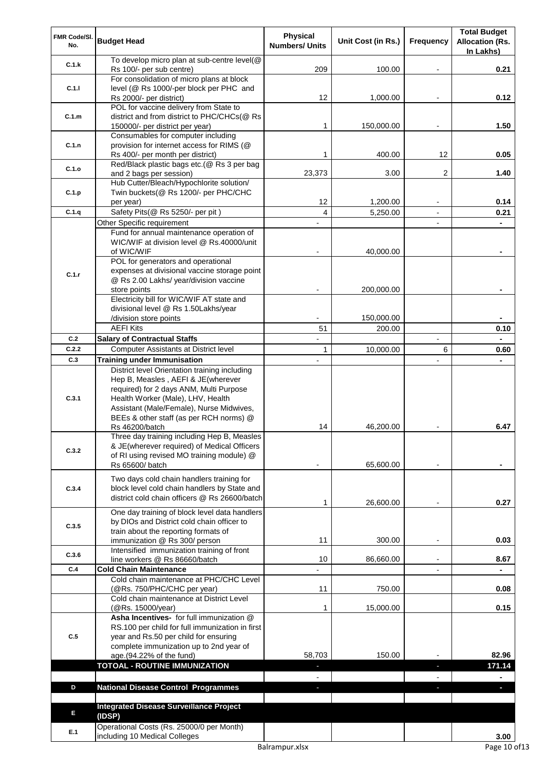| FMR Code/SI.<br>No.                                                                          | <b>Budget Head</b>                                                                | <b>Physical</b><br><b>Numbers/ Units</b> | Unit Cost (in Rs.) | <b>Frequency</b> | <b>Total Budget</b><br><b>Allocation (Rs.</b> |
|----------------------------------------------------------------------------------------------|-----------------------------------------------------------------------------------|------------------------------------------|--------------------|------------------|-----------------------------------------------|
| C.1.k                                                                                        | To develop micro plan at sub-centre level(@<br>Rs 100/- per sub centre)           | 209                                      | 100.00             |                  | In Lakhs)<br>0.21                             |
|                                                                                              | For consolidation of micro plans at block                                         |                                          |                    |                  |                                               |
| C.1.1                                                                                        | level (@ Rs 1000/-per block per PHC and<br>Rs 2000/- per district)                | 12                                       | 1,000.00           |                  | 0.12                                          |
|                                                                                              | POL for vaccine delivery from State to                                            |                                          |                    |                  |                                               |
|                                                                                              | district and from district to PHC/CHCs(@ Rs                                       |                                          |                    |                  | 1.50                                          |
|                                                                                              | 150000/- per district per year)<br>Consumables for computer including             | 1                                        | 150,000.00         |                  |                                               |
| C.1.n                                                                                        | provision for internet access for RIMS (@                                         |                                          |                    |                  |                                               |
|                                                                                              | Rs 400/- per month per district)                                                  | 1                                        | 400.00             | 12               | 0.05                                          |
| C.1.o                                                                                        | Red/Black plastic bags etc.(@ Rs 3 per bag<br>and 2 bags per session)             | 23,373                                   | 3.00               | 2                | 1.40                                          |
|                                                                                              | Hub Cutter/Bleach/Hypochlorite solution/                                          |                                          |                    |                  |                                               |
| C.1.p                                                                                        | Twin buckets(@ Rs 1200/- per PHC/CHC                                              |                                          |                    |                  |                                               |
|                                                                                              | per year)                                                                         | 12                                       | 1,200.00           |                  | 0.14                                          |
|                                                                                              | Safety Pits(@ Rs 5250/- per pit)                                                  | 4                                        | 5,250.00           |                  | 0.21                                          |
|                                                                                              | Other Specific requirement<br>Fund for annual maintenance operation of            |                                          |                    |                  |                                               |
|                                                                                              | WIC/WIF at division level @ Rs.40000/unit                                         |                                          |                    |                  |                                               |
|                                                                                              | of WIC/WIF                                                                        |                                          | 40,000.00          |                  |                                               |
|                                                                                              | POL for generators and operational                                                |                                          |                    |                  |                                               |
|                                                                                              | expenses at divisional vaccine storage point                                      |                                          |                    |                  |                                               |
|                                                                                              | @ Rs 2.00 Lakhs/ year/division vaccine                                            |                                          |                    |                  |                                               |
|                                                                                              | store points                                                                      |                                          | 200,000.00         |                  |                                               |
|                                                                                              | Electricity bill for WIC/WIF AT state and<br>divisional level @ Rs 1.50Lakhs/year |                                          |                    |                  |                                               |
|                                                                                              | /division store points                                                            |                                          | 150,000.00         |                  |                                               |
|                                                                                              | <b>AEFI Kits</b>                                                                  | 51                                       | 200.00             |                  | 0.10                                          |
| C.2                                                                                          | <b>Salary of Contractual Staffs</b>                                               |                                          |                    |                  |                                               |
| C.2.2                                                                                        | <b>Computer Assistants at District level</b>                                      | 1                                        | 10,000.00          | 6                | 0.60                                          |
| C.3                                                                                          | <b>Training under Immunisation</b>                                                |                                          |                    |                  |                                               |
|                                                                                              | District level Orientation training including                                     |                                          |                    |                  |                                               |
|                                                                                              | Hep B, Measles, AEFI & JE(wherever                                                |                                          |                    |                  |                                               |
|                                                                                              | required) for 2 days ANM, Multi Purpose                                           |                                          |                    |                  |                                               |
|                                                                                              | Health Worker (Male), LHV, Health<br>Assistant (Male/Female), Nurse Midwives,     |                                          |                    |                  |                                               |
|                                                                                              | BEEs & other staff (as per RCH norms) @                                           |                                          |                    |                  |                                               |
|                                                                                              | Rs 46200/batch                                                                    | 14                                       | 46,200.00          |                  | 6.47                                          |
|                                                                                              | Three day training including Hep B, Measles                                       |                                          |                    |                  |                                               |
|                                                                                              | & JE(wherever required) of Medical Officers                                       |                                          |                    |                  |                                               |
|                                                                                              | of RI using revised MO training module) @                                         |                                          |                    |                  |                                               |
| C.1.m<br>C.1.q<br>C.1.r<br>C.3.1<br>C.3.2<br>C.3.4<br>C.3.5<br>C.3.6<br>C.4<br>C.5<br>D<br>E | Rs 65600/ batch                                                                   |                                          | 65,600.00          |                  |                                               |
|                                                                                              | Two days cold chain handlers training for                                         |                                          |                    |                  |                                               |
|                                                                                              | block level cold chain handlers by State and                                      |                                          |                    |                  |                                               |
| E.1                                                                                          | district cold chain officers @ Rs 26600/batch                                     | 1                                        | 26,600.00          |                  | 0.27                                          |
|                                                                                              | One day training of block level data handlers                                     |                                          |                    |                  |                                               |
|                                                                                              | by DIOs and District cold chain officer to                                        |                                          |                    |                  |                                               |
|                                                                                              | train about the reporting formats of<br>immunization @ Rs 300/ person             | 11                                       | 300.00             |                  | 0.03                                          |
|                                                                                              | Intensified immunization training of front                                        |                                          |                    |                  |                                               |
|                                                                                              | line workers @ Rs 86660/batch                                                     | 10                                       | 86,660.00          |                  | 8.67                                          |
|                                                                                              | <b>Cold Chain Maintenance</b>                                                     |                                          |                    |                  |                                               |
|                                                                                              | Cold chain maintenance at PHC/CHC Level                                           |                                          |                    |                  |                                               |
|                                                                                              | (@Rs. 750/PHC/CHC per year)                                                       | 11                                       | 750.00             |                  | 0.08                                          |
|                                                                                              | Cold chain maintenance at District Level<br>(@Rs. 15000/year)                     | 1                                        | 15,000.00          |                  | 0.15                                          |
|                                                                                              | Asha Incentives- for full immunization @                                          |                                          |                    |                  |                                               |
|                                                                                              | RS.100 per child for full immunization in first                                   |                                          |                    |                  |                                               |
|                                                                                              | year and Rs.50 per child for ensuring                                             |                                          |                    |                  |                                               |
|                                                                                              | complete immunization up to 2nd year of                                           |                                          |                    |                  |                                               |
|                                                                                              | age.(94.22% of the fund)                                                          | 58,703                                   | 150.00             |                  | 82.96                                         |
|                                                                                              | <b>TOTOAL - ROUTINE IMMUNIZATION</b>                                              | ٠                                        |                    | ٠                | 171.14                                        |
|                                                                                              |                                                                                   | $\blacksquare$                           |                    | $\blacksquare$   | $\blacksquare$                                |
|                                                                                              | <b>National Disease Control Programmes</b>                                        | a.                                       |                    | J,               | $\overline{\phantom{a}}$                      |
|                                                                                              | <b>Integrated Disease Surveillance Project</b>                                    |                                          |                    |                  |                                               |
|                                                                                              | (IDSP)                                                                            |                                          |                    |                  |                                               |
|                                                                                              | Operational Costs (Rs. 25000/0 per Month)                                         |                                          |                    |                  |                                               |
|                                                                                              | including 10 Medical Colleges                                                     |                                          |                    |                  | 3.00                                          |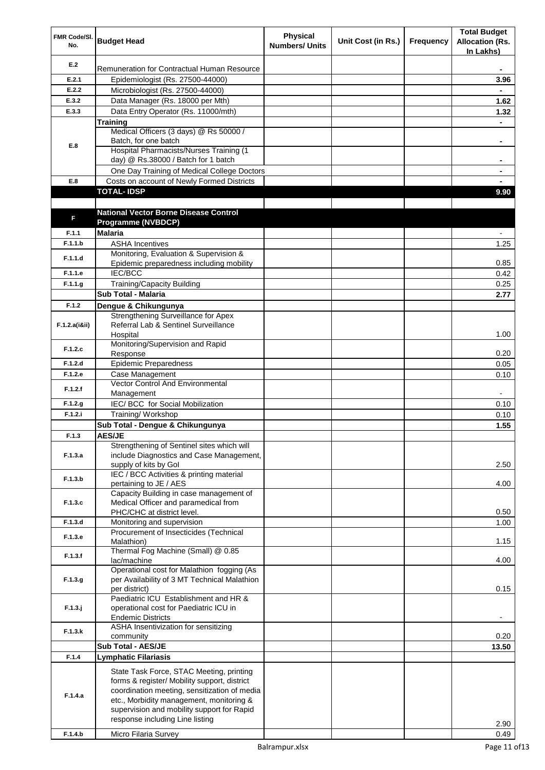| FMR Code/SI.<br>No. | <b>Budget Head</b>                                                              | Physical<br><b>Numbers/ Units</b> | Unit Cost (in Rs.) | <b>Frequency</b> | <b>Total Budget</b><br><b>Allocation (Rs.</b><br>In Lakhs) |
|---------------------|---------------------------------------------------------------------------------|-----------------------------------|--------------------|------------------|------------------------------------------------------------|
| E.2                 | Remuneration for Contractual Human Resource                                     |                                   |                    |                  |                                                            |
| E.2.1               | Epidemiologist (Rs. 27500-44000)                                                |                                   |                    |                  | 3.96                                                       |
| E.2.2               | Microbiologist (Rs. 27500-44000)                                                |                                   |                    |                  |                                                            |
| E.3.2               | Data Manager (Rs. 18000 per Mth)                                                |                                   |                    |                  | 1.62                                                       |
| E.3.3               | Data Entry Operator (Rs. 11000/mth)                                             |                                   |                    |                  | 1.32                                                       |
|                     | <b>Training</b>                                                                 |                                   |                    |                  |                                                            |
|                     | Medical Officers (3 days) @ Rs 50000 /                                          |                                   |                    |                  |                                                            |
| E.8                 | Batch, for one batch                                                            |                                   |                    |                  | $\blacksquare$                                             |
|                     | Hospital Pharmacists/Nurses Training (1                                         |                                   |                    |                  |                                                            |
|                     | day) @ Rs.38000 / Batch for 1 batch                                             |                                   |                    |                  | ٠                                                          |
|                     | One Day Training of Medical College Doctors                                     |                                   |                    |                  |                                                            |
| E.8                 | Costs on account of Newly Formed Districts<br><b>TOTAL-IDSP</b>                 |                                   |                    |                  | 9.90                                                       |
|                     |                                                                                 |                                   |                    |                  |                                                            |
|                     | <b>National Vector Borne Disease Control</b>                                    |                                   |                    |                  |                                                            |
| F                   | Programme (NVBDCP)                                                              |                                   |                    |                  |                                                            |
| F.1.1               | <b>Malaria</b>                                                                  |                                   |                    |                  |                                                            |
| F.1.1.b             | <b>ASHA Incentives</b>                                                          |                                   |                    |                  | 1.25                                                       |
|                     | Monitoring, Evaluation & Supervision &                                          |                                   |                    |                  |                                                            |
| F.1.1.d             | Epidemic preparedness including mobility                                        |                                   |                    |                  | 0.85                                                       |
| F.1.1.e             | <b>IEC/BCC</b>                                                                  |                                   |                    |                  | 0.42                                                       |
| F.1.1.g             | Training/Capacity Building                                                      |                                   |                    |                  | 0.25                                                       |
|                     | Sub Total - Malaria                                                             |                                   |                    |                  | 2.77                                                       |
| F.1.2               | Dengue & Chikungunya                                                            |                                   |                    |                  |                                                            |
|                     | Strengthening Surveillance for Apex                                             |                                   |                    |                  |                                                            |
| F.1.2.a(iⅈ)         | Referral Lab & Sentinel Surveillance                                            |                                   |                    |                  |                                                            |
|                     | Hospital                                                                        |                                   |                    |                  | 1.00                                                       |
| F.1.2.c             | Monitoring/Supervision and Rapid                                                |                                   |                    |                  |                                                            |
|                     | Response                                                                        |                                   |                    |                  | 0.20                                                       |
| F.1.2.d             | <b>Epidemic Preparedness</b>                                                    |                                   |                    |                  | 0.05                                                       |
| F.1.2.e             | Case Management<br><b>Vector Control And Environmental</b>                      |                                   |                    |                  | 0.10                                                       |
| F.1.2.f             | Management                                                                      |                                   |                    |                  |                                                            |
| F.1.2.g             | IEC/BCC for Social Mobilization                                                 |                                   |                    |                  | 0.10                                                       |
| F.1.2.i             | Training/ Workshop                                                              |                                   |                    |                  | 0.10                                                       |
|                     | Sub Total - Dengue & Chikungunya                                                |                                   |                    |                  | 1.55                                                       |
| F.1.3               | <b>AES/JE</b>                                                                   |                                   |                    |                  |                                                            |
|                     | Strengthening of Sentinel sites which will                                      |                                   |                    |                  |                                                            |
| F.1.3.a             | include Diagnostics and Case Management,                                        |                                   |                    |                  |                                                            |
|                     | supply of kits by Gol                                                           |                                   |                    |                  | 2.50                                                       |
| F.1.3.b             | IEC / BCC Activities & printing material                                        |                                   |                    |                  |                                                            |
|                     | pertaining to JE / AES                                                          |                                   |                    |                  | 4.00                                                       |
| F.1.3.c             | Capacity Building in case management of<br>Medical Officer and paramedical from |                                   |                    |                  |                                                            |
|                     | PHC/CHC at district level.                                                      |                                   |                    |                  | 0.50                                                       |
| F.1.3.d             | Monitoring and supervision                                                      |                                   |                    |                  | 1.00                                                       |
|                     | Procurement of Insecticides (Technical                                          |                                   |                    |                  |                                                            |
| F.1.3.e             | Malathion)                                                                      |                                   |                    |                  | 1.15                                                       |
| F.1.3.f             | Thermal Fog Machine (Small) @ 0.85                                              |                                   |                    |                  |                                                            |
|                     | lac/machine                                                                     |                                   |                    |                  | 4.00                                                       |
|                     | Operational cost for Malathion fogging (As                                      |                                   |                    |                  |                                                            |
| F.1.3.g             | per Availability of 3 MT Technical Malathion<br>per district)                   |                                   |                    |                  | 0.15                                                       |
|                     | Paediatric ICU Establishment and HR &                                           |                                   |                    |                  |                                                            |
| $F.1.3.$ j          | operational cost for Paediatric ICU in                                          |                                   |                    |                  |                                                            |
|                     | <b>Endemic Districts</b>                                                        |                                   |                    |                  |                                                            |
| F.1.3.k             | ASHA Insentivization for sensitizing                                            |                                   |                    |                  |                                                            |
|                     | community                                                                       |                                   |                    |                  | 0.20                                                       |
|                     | Sub Total - AES/JE                                                              |                                   |                    |                  | 13.50                                                      |
| F.1.4               | <b>Lymphatic Filariasis</b>                                                     |                                   |                    |                  |                                                            |
|                     | State Task Force, STAC Meeting, printing                                        |                                   |                    |                  |                                                            |
|                     | forms & register/ Mobility support, district                                    |                                   |                    |                  |                                                            |
| F.1.4.a             | coordination meeting, sensitization of media                                    |                                   |                    |                  |                                                            |
|                     | etc., Morbidity management, monitoring &                                        |                                   |                    |                  |                                                            |
|                     | supervision and mobility support for Rapid<br>response including Line listing   |                                   |                    |                  |                                                            |
|                     |                                                                                 |                                   |                    |                  | 2.90                                                       |
| F.1.4.b             | Micro Filaria Survey                                                            |                                   |                    |                  | 0.49                                                       |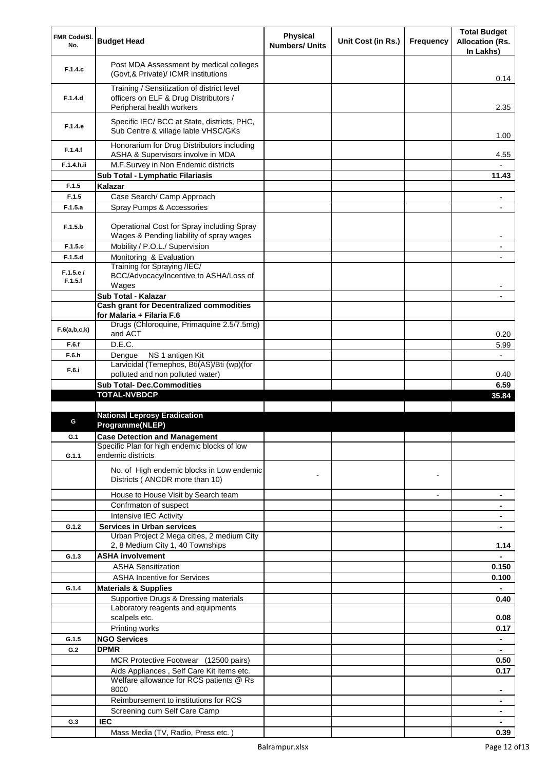| FMR Code/SI.        | <b>Budget Head</b>                                                                                               | <b>Physical</b>       | Unit Cost (in Rs.) | <b>Frequency</b> | <b>Total Budget</b>                 |
|---------------------|------------------------------------------------------------------------------------------------------------------|-----------------------|--------------------|------------------|-------------------------------------|
| No.                 |                                                                                                                  | <b>Numbers/ Units</b> |                    |                  | <b>Allocation (Rs.</b><br>In Lakhs) |
| F.1.4.c             | Post MDA Assessment by medical colleges<br>(Govt,& Private)/ ICMR institutions                                   |                       |                    |                  | 0.14                                |
| F.1.4.d             | Training / Sensitization of district level<br>officers on ELF & Drug Distributors /<br>Peripheral health workers |                       |                    |                  | 2.35                                |
| F.1.4.e             | Specific IEC/ BCC at State, districts, PHC,<br>Sub Centre & village lable VHSC/GKs                               |                       |                    |                  | 1.00                                |
| F.1.4.f             | Honorarium for Drug Distributors including<br>ASHA & Supervisors involve in MDA                                  |                       |                    |                  | 4.55                                |
| F.1.4.h.ii          | M.F.Survey in Non Endemic districts                                                                              |                       |                    |                  |                                     |
|                     | Sub Total - Lymphatic Filariasis                                                                                 |                       |                    |                  | 11.43                               |
| F.1.5               | Kalazar                                                                                                          |                       |                    |                  |                                     |
| F.1.5               | Case Search/ Camp Approach                                                                                       |                       |                    |                  |                                     |
| F.1.5.a             | Spray Pumps & Accessories                                                                                        |                       |                    |                  |                                     |
| F.1.5.b             | Operational Cost for Spray including Spray<br>Wages & Pending liability of spray wages                           |                       |                    |                  |                                     |
| F.1.5.c             | Mobility / P.O.L./ Supervision                                                                                   |                       |                    |                  |                                     |
| F.1.5.d             | Monitoring & Evaluation                                                                                          |                       |                    |                  |                                     |
| F.1.5.e/<br>F.1.5.f | Training for Spraying /IEC/<br>BCC/Advocacy/Incentive to ASHA/Loss of<br>Wages                                   |                       |                    |                  |                                     |
|                     | Sub Total - Kalazar                                                                                              |                       |                    |                  |                                     |
|                     | <b>Cash grant for Decentralized commodities</b>                                                                  |                       |                    |                  |                                     |
|                     | for Malaria + Filaria F.6                                                                                        |                       |                    |                  |                                     |
| F.6(a,b,c,k)        | Drugs (Chloroquine, Primaquine 2.5/7.5mg)                                                                        |                       |                    |                  |                                     |
|                     | and ACT                                                                                                          |                       |                    |                  | 0.20                                |
| F.6.f               | D.E.C.                                                                                                           |                       |                    |                  | 5.99                                |
| F.6.h               | NS 1 antigen Kit<br>Dengue                                                                                       |                       |                    |                  |                                     |
| F.6.i               | Larvicidal (Temephos, Bti(AS)/Bti (wp)(for<br>polluted and non polluted water)                                   |                       |                    |                  | 0.40                                |
|                     | <b>Sub Total- Dec.Commodities</b>                                                                                |                       |                    |                  | 6.59                                |
|                     | <b>TOTAL-NVBDCP</b>                                                                                              |                       |                    |                  | 35.84                               |
|                     |                                                                                                                  |                       |                    |                  |                                     |
| G                   | <b>National Leprosy Eradication</b><br>Programme(NLEP)                                                           |                       |                    |                  |                                     |
| G.1                 | <b>Case Detection and Management</b>                                                                             |                       |                    |                  |                                     |
| G.1.1               | Specific Plan for high endemic blocks of low<br>endemic districts                                                |                       |                    |                  |                                     |
|                     | No. of High endemic blocks in Low endemic<br>Districts (ANCDR more than 10)                                      |                       |                    |                  |                                     |
|                     | House to House Visit by Search team                                                                              |                       |                    |                  | ٠                                   |
|                     | Confrmaton of suspect                                                                                            |                       |                    |                  |                                     |
|                     | Intensive IEC Activity                                                                                           |                       |                    |                  | $\blacksquare$                      |
| G.1.2               | <b>Services in Urban services</b>                                                                                |                       |                    |                  |                                     |
|                     | Urban Project 2 Mega cities, 2 medium City                                                                       |                       |                    |                  |                                     |
|                     | 2, 8 Medium City 1, 40 Townships                                                                                 |                       |                    |                  | 1.14                                |
| G.1.3               | <b>ASHA involvement</b>                                                                                          |                       |                    |                  |                                     |
|                     | <b>ASHA Sensitization</b>                                                                                        |                       |                    |                  | 0.150                               |
|                     | <b>ASHA Incentive for Services</b>                                                                               |                       |                    |                  | 0.100                               |
| G.1.4               | <b>Materials &amp; Supplies</b>                                                                                  |                       |                    |                  |                                     |
|                     | Supportive Drugs & Dressing materials                                                                            |                       |                    |                  | 0.40                                |
|                     | Laboratory reagents and equipments<br>scalpels etc.                                                              |                       |                    |                  | 0.08                                |
|                     | Printing works                                                                                                   |                       |                    |                  | 0.17                                |
| G.1.5               | <b>NGO Services</b>                                                                                              |                       |                    |                  | $\blacksquare$                      |
| G.2                 | <b>DPMR</b>                                                                                                      |                       |                    |                  | $\blacksquare$                      |
|                     | MCR Protective Footwear (12500 pairs)                                                                            |                       |                    |                  | 0.50                                |
|                     | Aids Appliances, Self Care Kit items etc.                                                                        |                       |                    |                  | 0.17                                |
|                     | Welfare allowance for RCS patients @ Rs<br>8000                                                                  |                       |                    |                  |                                     |
|                     | Reimbursement to institutions for RCS                                                                            |                       |                    |                  |                                     |
|                     | Screening cum Self Care Camp                                                                                     |                       |                    |                  |                                     |
| G.3                 | <b>IEC</b>                                                                                                       |                       |                    |                  |                                     |
|                     | Mass Media (TV, Radio, Press etc.)                                                                               |                       |                    |                  | 0.39                                |